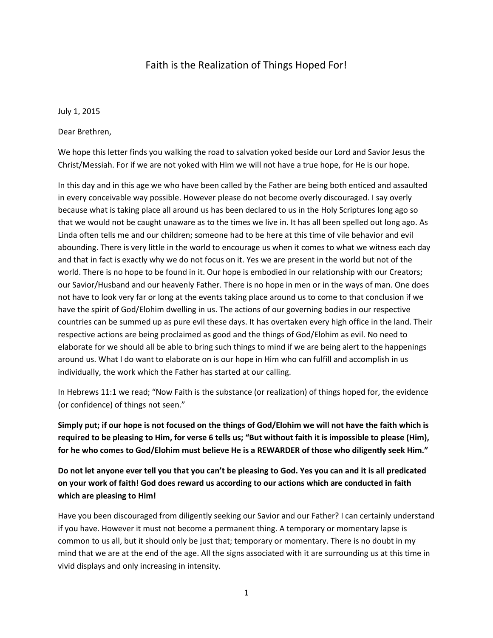## Faith is the Realization of Things Hoped For!

July 1, 2015

Dear Brethren,

We hope this letter finds you walking the road to salvation yoked beside our Lord and Savior Jesus the Christ/Messiah. For if we are not yoked with Him we will not have a true hope, for He is our hope.

In this day and in this age we who have been called by the Father are being both enticed and assaulted in every conceivable way possible. However please do not become overly discouraged. I say overly because what is taking place all around us has been declared to us in the Holy Scriptures long ago so that we would not be caught unaware as to the times we live in. It has all been spelled out long ago. As Linda often tells me and our children; someone had to be here at this time of vile behavior and evil abounding. There is very little in the world to encourage us when it comes to what we witness each day and that in fact is exactly why we do not focus on it. Yes we are present in the world but not of the world. There is no hope to be found in it. Our hope is embodied in our relationship with our Creators; our Savior/Husband and our heavenly Father. There is no hope in men or in the ways of man. One does not have to look very far or long at the events taking place around us to come to that conclusion if we have the spirit of God/Elohim dwelling in us. The actions of our governing bodies in our respective countries can be summed up as pure evil these days. It has overtaken every high office in the land. Their respective actions are being proclaimed as good and the things of God/Elohim as evil. No need to elaborate for we should all be able to bring such things to mind if we are being alert to the happenings around us. What I do want to elaborate on is our hope in Him who can fulfill and accomplish in us individually, the work which the Father has started at our calling.

In Hebrews 11:1 we read; "Now Faith is the substance (or realization) of things hoped for, the evidence (or confidence) of things not seen."

**Simply put; if our hope is not focused on the things of God/Elohim we will not have the faith which is required to be pleasing to Him, for verse 6 tells us; "But without faith it is impossible to please (Him), for he who comes to God/Elohim must believe He is a REWARDER of those who diligently seek Him."** 

**Do not let anyone ever tell you that you can't be pleasing to God. Yes you can and it is all predicated on your work of faith! God does reward us according to our actions which are conducted in faith which are pleasing to Him!**

Have you been discouraged from diligently seeking our Savior and our Father? I can certainly understand if you have. However it must not become a permanent thing. A temporary or momentary lapse is common to us all, but it should only be just that; temporary or momentary. There is no doubt in my mind that we are at the end of the age. All the signs associated with it are surrounding us at this time in vivid displays and only increasing in intensity.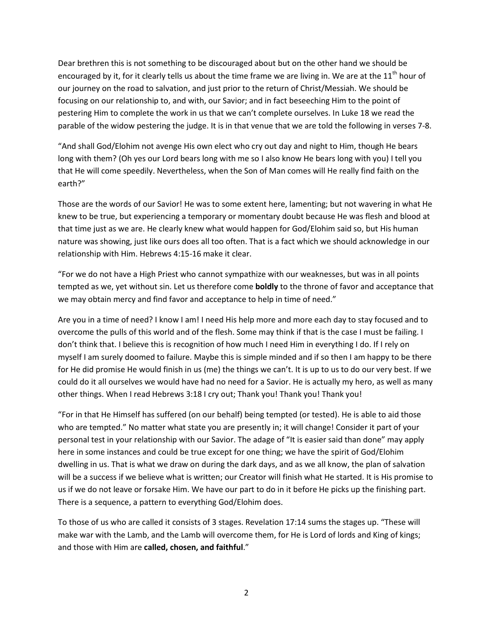Dear brethren this is not something to be discouraged about but on the other hand we should be encouraged by it, for it clearly tells us about the time frame we are living in. We are at the  $11<sup>th</sup>$  hour of our journey on the road to salvation, and just prior to the return of Christ/Messiah. We should be focusing on our relationship to, and with, our Savior; and in fact beseeching Him to the point of pestering Him to complete the work in us that we can't complete ourselves. In Luke 18 we read the parable of the widow pestering the judge. It is in that venue that we are told the following in verses 7-8.

"And shall God/Elohim not avenge His own elect who cry out day and night to Him, though He bears long with them? (Oh yes our Lord bears long with me so I also know He bears long with you) I tell you that He will come speedily. Nevertheless, when the Son of Man comes will He really find faith on the earth?"

Those are the words of our Savior! He was to some extent here, lamenting; but not wavering in what He knew to be true, but experiencing a temporary or momentary doubt because He was flesh and blood at that time just as we are. He clearly knew what would happen for God/Elohim said so, but His human nature was showing, just like ours does all too often. That is a fact which we should acknowledge in our relationship with Him. Hebrews 4:15-16 make it clear.

"For we do not have a High Priest who cannot sympathize with our weaknesses, but was in all points tempted as we, yet without sin. Let us therefore come **boldly** to the throne of favor and acceptance that we may obtain mercy and find favor and acceptance to help in time of need."

Are you in a time of need? I know I am! I need His help more and more each day to stay focused and to overcome the pulls of this world and of the flesh. Some may think if that is the case I must be failing. I don't think that. I believe this is recognition of how much I need Him in everything I do. If I rely on myself I am surely doomed to failure. Maybe this is simple minded and if so then I am happy to be there for He did promise He would finish in us (me) the things we can't. It is up to us to do our very best. If we could do it all ourselves we would have had no need for a Savior. He is actually my hero, as well as many other things. When I read Hebrews 3:18 I cry out; Thank you! Thank you! Thank you!

"For in that He Himself has suffered (on our behalf) being tempted (or tested). He is able to aid those who are tempted." No matter what state you are presently in; it will change! Consider it part of your personal test in your relationship with our Savior. The adage of "It is easier said than done" may apply here in some instances and could be true except for one thing; we have the spirit of God/Elohim dwelling in us. That is what we draw on during the dark days, and as we all know, the plan of salvation will be a success if we believe what is written; our Creator will finish what He started. It is His promise to us if we do not leave or forsake Him. We have our part to do in it before He picks up the finishing part. There is a sequence, a pattern to everything God/Elohim does.

To those of us who are called it consists of 3 stages. Revelation 17:14 sums the stages up. "These will make war with the Lamb, and the Lamb will overcome them, for He is Lord of lords and King of kings; and those with Him are **called, chosen, and faithful**."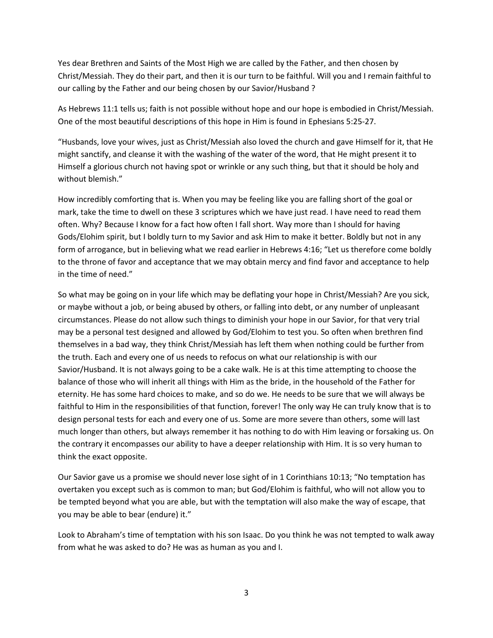Yes dear Brethren and Saints of the Most High we are called by the Father, and then chosen by Christ/Messiah. They do their part, and then it is our turn to be faithful. Will you and I remain faithful to our calling by the Father and our being chosen by our Savior/Husband ?

As Hebrews 11:1 tells us; faith is not possible without hope and our hope is embodied in Christ/Messiah. One of the most beautiful descriptions of this hope in Him is found in Ephesians 5:25-27.

"Husbands, love your wives, just as Christ/Messiah also loved the church and gave Himself for it, that He might sanctify, and cleanse it with the washing of the water of the word, that He might present it to Himself a glorious church not having spot or wrinkle or any such thing, but that it should be holy and without blemish."

How incredibly comforting that is. When you may be feeling like you are falling short of the goal or mark, take the time to dwell on these 3 scriptures which we have just read. I have need to read them often. Why? Because I know for a fact how often I fall short. Way more than I should for having Gods/Elohim spirit, but I boldly turn to my Savior and ask Him to make it better. Boldly but not in any form of arrogance, but in believing what we read earlier in Hebrews 4:16; "Let us therefore come boldly to the throne of favor and acceptance that we may obtain mercy and find favor and acceptance to help in the time of need."

So what may be going on in your life which may be deflating your hope in Christ/Messiah? Are you sick, or maybe without a job, or being abused by others, or falling into debt, or any number of unpleasant circumstances. Please do not allow such things to diminish your hope in our Savior, for that very trial may be a personal test designed and allowed by God/Elohim to test you. So often when brethren find themselves in a bad way, they think Christ/Messiah has left them when nothing could be further from the truth. Each and every one of us needs to refocus on what our relationship is with our Savior/Husband. It is not always going to be a cake walk. He is at this time attempting to choose the balance of those who will inherit all things with Him as the bride, in the household of the Father for eternity. He has some hard choices to make, and so do we. He needs to be sure that we will always be faithful to Him in the responsibilities of that function, forever! The only way He can truly know that is to design personal tests for each and every one of us. Some are more severe than others, some will last much longer than others, but always remember it has nothing to do with Him leaving or forsaking us. On the contrary it encompasses our ability to have a deeper relationship with Him. It is so very human to think the exact opposite.

Our Savior gave us a promise we should never lose sight of in 1 Corinthians 10:13; "No temptation has overtaken you except such as is common to man; but God/Elohim is faithful, who will not allow you to be tempted beyond what you are able, but with the temptation will also make the way of escape, that you may be able to bear (endure) it."

Look to Abraham's time of temptation with his son Isaac. Do you think he was not tempted to walk away from what he was asked to do? He was as human as you and I.